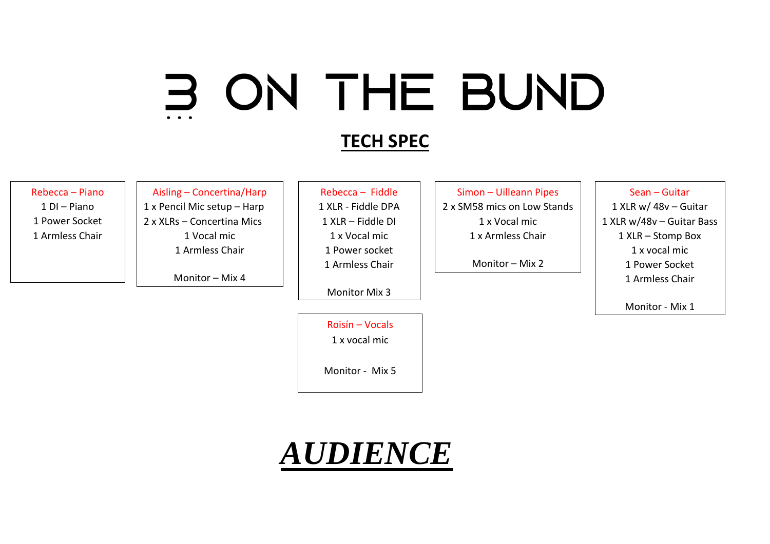# 3 ON THE BUND

## **TECH SPEC**

#### Rebecca – Piano

1 DI – Piano 1 Power Socket 1 Armless Chair

Aisling – Concertina/Harp 1 x Pencil Mic setup – Harp 2 x XLRs – Concertina Mics 1 Vocal mic 1 Armless Chair

Monitor – Mix 4

Rebecca – Fiddle 1 XLR - Fiddle DPA 1 XLR – Fiddle DI 1 x Vocal mic 1 Power socket 1 Armless Chair

Monitor Mix 3

Roisín – Vocals 1 x vocal mic

Monitor - Mix 5

Simon – Uilleann Pipes 2 x SM58 mics on Low Stands 1 x Vocal mic 1 x Armless Chair

Monitor – Mix 2

#### Sean – Guitar

1 XLR w/ 48v – Guitar 1 XLR w/48v – Guitar Bass 1 XLR – Stomp Box 1 x vocal mic 1 Power Socket 1 Armless Chair

Monitor - Mix 1

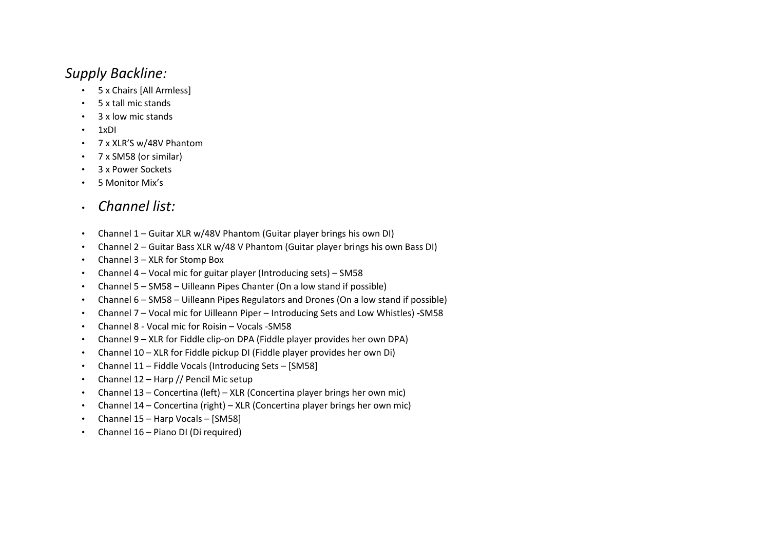### *Supply Backline:*

- 5 x Chairs [All Armless]
- 5 x tall mic stands
- 3 x low mic stands
- 1xDI
- 7 x XLR'S w/48V Phantom
- 7 x SM58 (or similar)
- 3 x Power Sockets
- 5 Monitor Mix's
- *Channel list:*
- Channel 1 Guitar XLR w/48V Phantom (Guitar player brings his own DI)
- Channel 2 Guitar Bass XLR w/48 V Phantom (Guitar player brings his own Bass DI)
- Channel 3 XLR for Stomp Box
- Channel 4 Vocal mic for guitar player (Introducing sets) SM58
- Channel 5 SM58 Uilleann Pipes Chanter (On a low stand if possible)
- Channel 6 SM58 Uilleann Pipes Regulators and Drones (On a low stand if possible)
- Channel 7 Vocal mic for Uilleann Piper Introducing Sets and Low Whistles) **-**SM58
- Channel 8 Vocal mic for Roisin Vocals -SM58
- Channel 9 XLR for Fiddle clip-on DPA (Fiddle player provides her own DPA)
- Channel 10 XLR for Fiddle pickup DI (Fiddle player provides her own Di)
- Channel 11 Fiddle Vocals (Introducing Sets [SM58]
- Channel 12 Harp // Pencil Mic setup
- Channel 13 Concertina (left) XLR (Concertina player brings her own mic)
- Channel 14 Concertina (right) XLR (Concertina player brings her own mic)
- Channel 15 Harp Vocals [SM58]
- Channel 16 Piano DI (Di required)